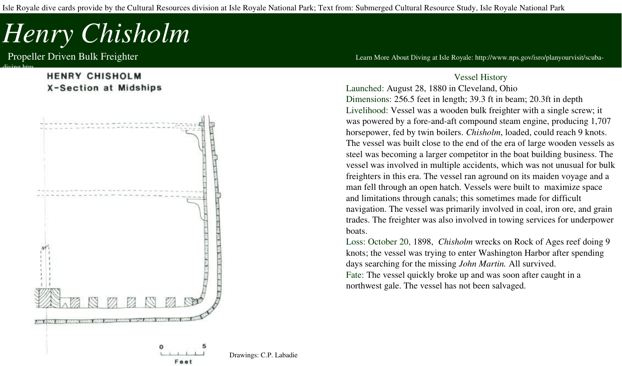Isle Royale dive cards provide by the Cultural Resources division at Isle Royale National Park; Text from: Submerged Cultural Resource Study, Isle Royale National Park

## *Henry Chisholm*

diving.htm

## **HENRY CHISHOLM X-Section at Midships**



Propeller Driven Bulk Freighter **The Community of the Community Community** Learn More About Diving at Isle Royale: http://www.nps.gov/isro/planyourvisit/scuba-

## Vessel History

Launched: August 28, 1880 in Cleveland, Ohio Dimensions: 256.5 feet in length; 39.3 ft in beam; 20.3ft in depth Livelihood: Vessel was a wooden bulk freighter with a single screw; it was powered by a fore-and-aft compound steam engine, producing 1,707 horsepower, fed by twin boilers. *Chisholm*, loaded, could reach 9 knots. The vessel was built close to the end of the era of large wooden vessels as steel was becoming a larger competitor in the boat building business. The vessel was involved in multiple accidents, which was not unusual for bulk freighters in this era. The vessel ran aground on its maiden voyage and a man fell through an open hatch. Vessels were built to maximize space and limitations through canals; this sometimes made for difficult navigation. The vessel was primarily involved in coal, iron ore, and grain trades. The freighter was also involved in towing services for underpower boats.

Loss: October 20, 1898, *Chisholm* wrecks on Rock of Ages reef doing 9 knots; the vessel was trying to enter Washington Harbor after spending days searching for the missing *John Martin.* All survived.

Fate: The vessel quickly broke up and was soon after caught in a northwest gale. The vessel has not been salvaged.